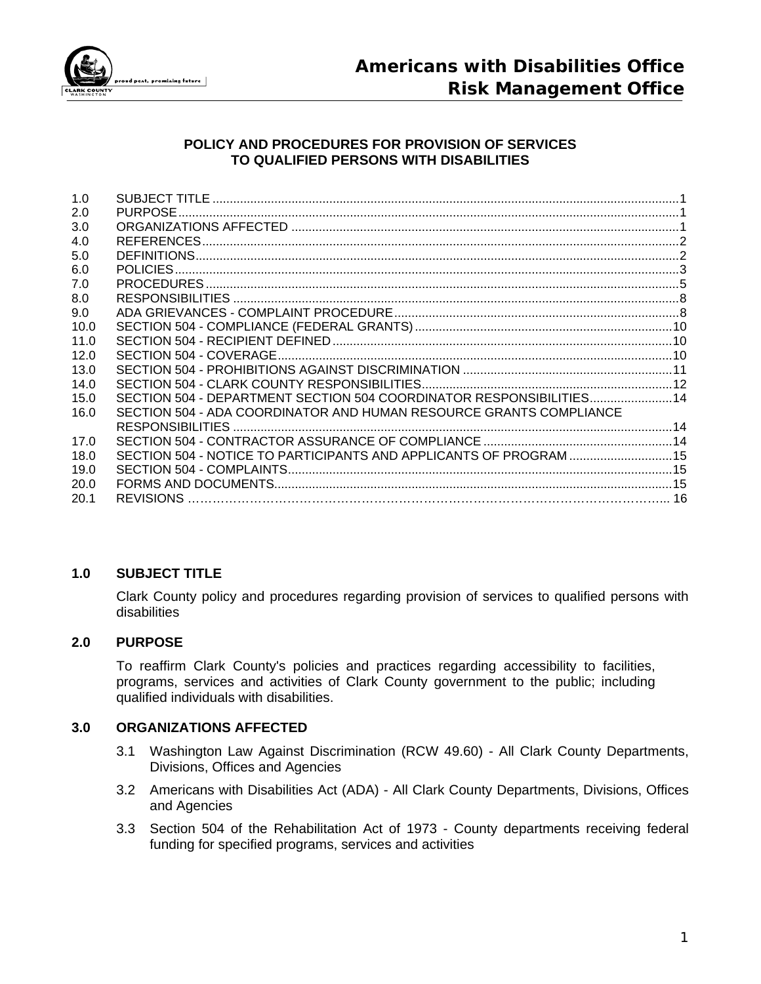

## **POLICY AND PROCEDURES FOR PROVISION OF SERVICES TO QUALIFIED PERSONS WITH DISABILITIES**

| 1.0  |                                                                      |  |
|------|----------------------------------------------------------------------|--|
| 2.0  |                                                                      |  |
| 3.0  |                                                                      |  |
| 4.0  |                                                                      |  |
| 5.0  |                                                                      |  |
| 6.0  |                                                                      |  |
| 7.0  |                                                                      |  |
| 8.0  |                                                                      |  |
| 9.0  |                                                                      |  |
| 10.0 |                                                                      |  |
| 11.0 |                                                                      |  |
| 12.0 |                                                                      |  |
| 13.0 |                                                                      |  |
| 14.0 |                                                                      |  |
| 15.0 | SECTION 504 - DEPARTMENT SECTION 504 COORDINATOR RESPONSIBILITIES 14 |  |
| 16.0 | SECTION 504 - ADA COORDINATOR AND HUMAN RESOURCE GRANTS COMPLIANCE   |  |
|      |                                                                      |  |
| 17.0 |                                                                      |  |
| 18.0 | SECTION 504 - NOTICE TO PARTICIPANTS AND APPLICANTS OF PROGRAM 15    |  |
| 19.0 |                                                                      |  |
| 20.0 |                                                                      |  |
| 20.1 |                                                                      |  |
|      |                                                                      |  |

#### **1.0 SUBJECT TITLE**

Clark County policy and procedures regarding provision of services to qualified persons with disabilities

## **2.0 PURPOSE**

To reaffirm Clark County's policies and practices regarding accessibility to facilities, programs, services and activities of Clark County government to the public; including qualified individuals with disabilities.

# **3.0 ORGANIZATIONS AFFECTED**

- 3.1 Washington Law Against Discrimination (RCW 49.60) All Clark County Departments, Divisions, Offices and Agencies
- 3.2 Americans with Disabilities Act (ADA) All Clark County Departments, Divisions, Offices and Agencies
- 3.3 Section 504 of the Rehabilitation Act of 1973 County departments receiving federal funding for specified programs, services and activities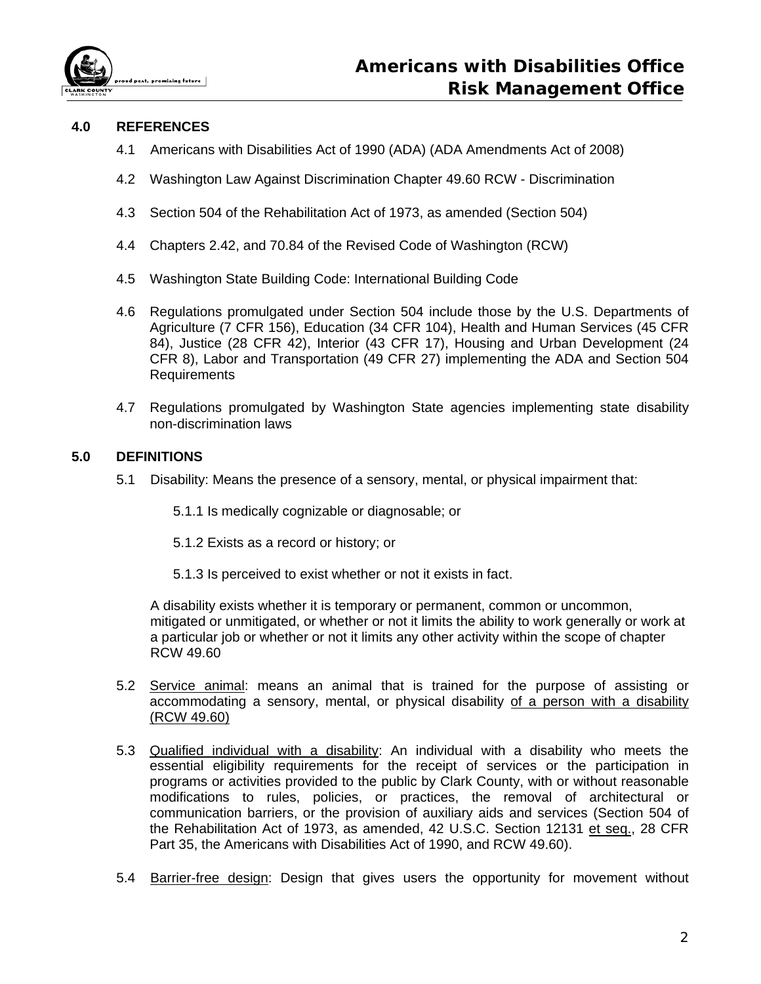

# **4.0 REFERENCES**

- 4.1 Americans with Disabilities Act of 1990 (ADA) (ADA Amendments Act of 2008)
- 4.2 Washington Law Against Discrimination Chapter 49.60 RCW Discrimination
- 4.3 Section 504 of the Rehabilitation Act of 1973, as amended (Section 504)
- 4.4 Chapters 2.42, and 70.84 of the Revised Code of Washington (RCW)
- 4.5 Washington State Building Code: International Building Code
- 4.6 Regulations promulgated under Section 504 include those by the U.S. Departments of Agriculture (7 CFR 156), Education (34 CFR 104), Health and Human Services (45 CFR 84), Justice (28 CFR 42), Interior (43 CFR 17), Housing and Urban Development (24 CFR 8), Labor and Transportation (49 CFR 27) implementing the ADA and Section 504 Requirements
- 4.7 Regulations promulgated by Washington State agencies implementing state disability non-discrimination laws

### **5.0 DEFINITIONS**

- 5.1 Disability: Means the presence of a sensory, mental, or physical impairment that:
	- 5.1.1 Is medically cognizable or diagnosable; or
	- 5.1.2 Exists as a record or history; or
	- 5.1.3 Is perceived to exist whether or not it exists in fact.

A disability exists whether it is temporary or permanent, common or uncommon, mitigated or unmitigated, or whether or not it limits the ability to work generally or work at a particular job or whether or not it limits any other activity within the scope of chapter RCW 49.60

- 5.2 Service animal: means an animal that is trained for the purpose of assisting or accommodating a sensory, mental, or physical disability of a person with a disability (RCW 49.60)
- 5.3 Qualified individual with a disability: An individual with a disability who meets the essential eligibility requirements for the receipt of services or the participation in programs or activities provided to the public by Clark County, with or without reasonable modifications to rules, policies, or practices, the removal of architectural or communication barriers, or the provision of auxiliary aids and services (Section 504 of the Rehabilitation Act of 1973, as amended, 42 U.S.C. Section 12131 et seq., 28 CFR Part 35, the Americans with Disabilities Act of 1990, and RCW 49.60).
- 5.4 Barrier-free design: Design that gives users the opportunity for movement without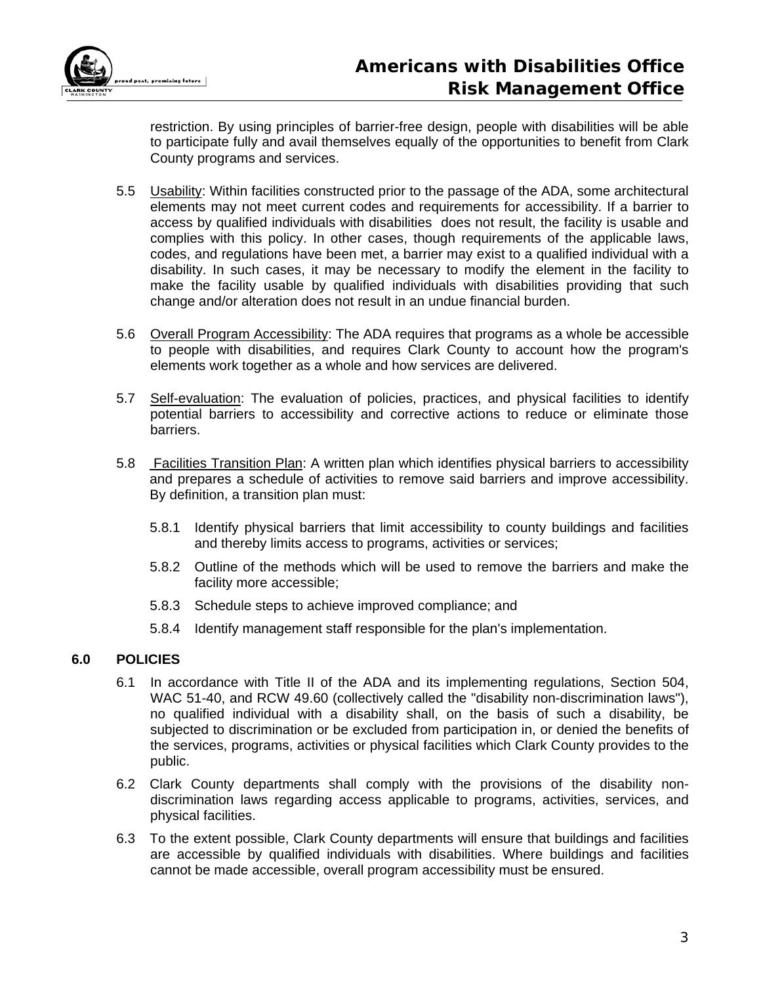

restriction. By using principles of barrier-free design, people with disabilities will be able to participate fully and avail themselves equally of the opportunities to benefit from Clark County programs and services.

- 5.5 Usability: Within facilities constructed prior to the passage of the ADA, some architectural elements may not meet current codes and requirements for accessibility. If a barrier to access by qualified individuals with disabilities does not result, the facility is usable and complies with this policy. In other cases, though requirements of the applicable laws, codes, and regulations have been met, a barrier may exist to a qualified individual with a disability. In such cases, it may be necessary to modify the element in the facility to make the facility usable by qualified individuals with disabilities providing that such change and/or alteration does not result in an undue financial burden.
- 5.6 Overall Program Accessibility: The ADA requires that programs as a whole be accessible to people with disabilities, and requires Clark County to account how the program's elements work together as a whole and how services are delivered.
- 5.7 Self-evaluation: The evaluation of policies, practices, and physical facilities to identify potential barriers to accessibility and corrective actions to reduce or eliminate those barriers.
- 5.8 **Facilities Transition Plan:** A written plan which identifies physical barriers to accessibility and prepares a schedule of activities to remove said barriers and improve accessibility. By definition, a transition plan must:
	- 5.8.1 Identify physical barriers that limit accessibility to county buildings and facilities and thereby limits access to programs, activities or services;
	- 5.8.2 Outline of the methods which will be used to remove the barriers and make the facility more accessible;
	- 5.8.3 Schedule steps to achieve improved compliance; and
	- 5.8.4 Identify management staff responsible for the plan's implementation.

# **6.0 POLICIES**

- 6.1 In accordance with Title II of the ADA and its implementing regulations, Section 504, WAC 51-40, and RCW 49.60 (collectively called the "disability non-discrimination laws"), no qualified individual with a disability shall, on the basis of such a disability, be subjected to discrimination or be excluded from participation in, or denied the benefits of the services, programs, activities or physical facilities which Clark County provides to the public.
- 6.2 Clark County departments shall comply with the provisions of the disability nondiscrimination laws regarding access applicable to programs, activities, services, and physical facilities.
- 6.3 To the extent possible, Clark County departments will ensure that buildings and facilities are accessible by qualified individuals with disabilities. Where buildings and facilities cannot be made accessible, overall program accessibility must be ensured.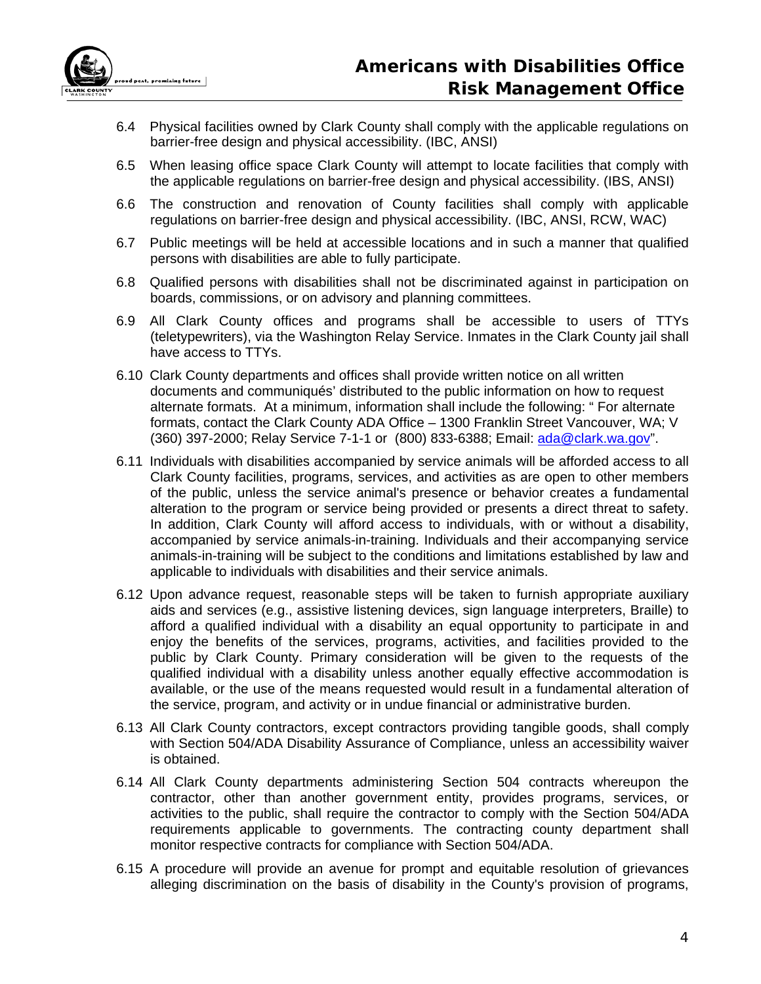

- 6.4 Physical facilities owned by Clark County shall comply with the applicable regulations on barrier-free design and physical accessibility. (IBC, ANSI)
- 6.5 When leasing office space Clark County will attempt to locate facilities that comply with the applicable regulations on barrier-free design and physical accessibility. (IBS, ANSI)
- 6.6 The construction and renovation of County facilities shall comply with applicable regulations on barrier-free design and physical accessibility. (IBC, ANSI, RCW, WAC)
- 6.7 Public meetings will be held at accessible locations and in such a manner that qualified persons with disabilities are able to fully participate.
- 6.8 Qualified persons with disabilities shall not be discriminated against in participation on boards, commissions, or on advisory and planning committees.
- 6.9 All Clark County offices and programs shall be accessible to users of TTYs (teletypewriters), via the Washington Relay Service. Inmates in the Clark County jail shall have access to TTYs.
- 6.10 Clark County departments and offices shall provide written notice on all written documents and communiqués' distributed to the public information on how to request alternate formats. At a minimum, information shall include the following: " For alternate formats, contact the Clark County ADA Office – 1300 Franklin Street Vancouver, WA; V (360) 397-2000; Relay Service 7-1-1 or (800) 833-6388; Email: ada@clark.wa.gov".
- 6.11 Individuals with disabilities accompanied by service animals will be afforded access to all Clark County facilities, programs, services, and activities as are open to other members of the public, unless the service animal's presence or behavior creates a fundamental alteration to the program or service being provided or presents a direct threat to safety. In addition, Clark County will afford access to individuals, with or without a disability, accompanied by service animals-in-training. Individuals and their accompanying service animals-in-training will be subject to the conditions and limitations established by law and applicable to individuals with disabilities and their service animals.
- 6.12 Upon advance request, reasonable steps will be taken to furnish appropriate auxiliary aids and services (e.g., assistive listening devices, sign language interpreters, Braille) to afford a qualified individual with a disability an equal opportunity to participate in and enjoy the benefits of the services, programs, activities, and facilities provided to the public by Clark County. Primary consideration will be given to the requests of the qualified individual with a disability unless another equally effective accommodation is available, or the use of the means requested would result in a fundamental alteration of the service, program, and activity or in undue financial or administrative burden.
- 6.13 All Clark County contractors, except contractors providing tangible goods, shall comply with Section 504/ADA Disability Assurance of Compliance, unless an accessibility waiver is obtained.
- 6.14 All Clark County departments administering Section 504 contracts whereupon the contractor, other than another government entity, provides programs, services, or activities to the public, shall require the contractor to comply with the Section 504/ADA requirements applicable to governments. The contracting county department shall monitor respective contracts for compliance with Section 504/ADA.
- 6.15 A procedure will provide an avenue for prompt and equitable resolution of grievances alleging discrimination on the basis of disability in the County's provision of programs,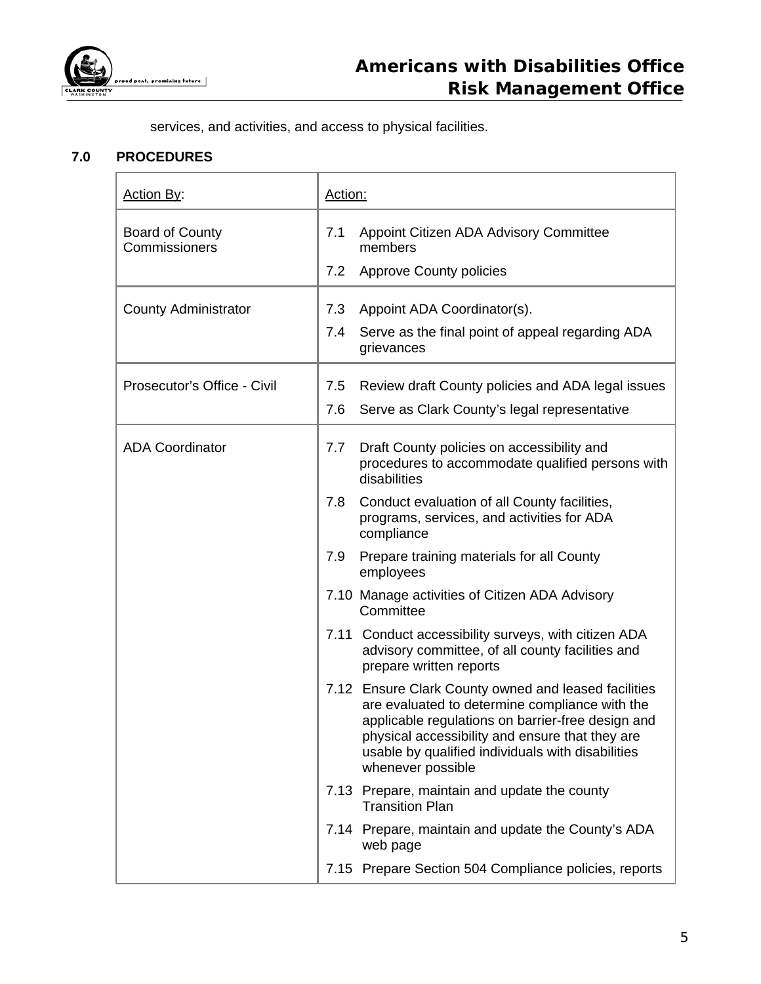

services, and activities, and access to physical facilities.

# **7.0 PROCEDURES**

| Action By:                              | Action: |                                                                                                                                                                                                                                                                                          |
|-----------------------------------------|---------|------------------------------------------------------------------------------------------------------------------------------------------------------------------------------------------------------------------------------------------------------------------------------------------|
| <b>Board of County</b><br>Commissioners | 7.1     | Appoint Citizen ADA Advisory Committee<br>members                                                                                                                                                                                                                                        |
|                                         | 7.2     | <b>Approve County policies</b>                                                                                                                                                                                                                                                           |
| <b>County Administrator</b>             | 7.3     | Appoint ADA Coordinator(s).                                                                                                                                                                                                                                                              |
|                                         | 7.4     | Serve as the final point of appeal regarding ADA<br>grievances                                                                                                                                                                                                                           |
| Prosecutor's Office - Civil             | 7.5     | Review draft County policies and ADA legal issues                                                                                                                                                                                                                                        |
|                                         | 7.6     | Serve as Clark County's legal representative                                                                                                                                                                                                                                             |
| <b>ADA Coordinator</b>                  | 7.7     | Draft County policies on accessibility and<br>procedures to accommodate qualified persons with<br>disabilities                                                                                                                                                                           |
|                                         | 7.8     | Conduct evaluation of all County facilities,<br>programs, services, and activities for ADA<br>compliance                                                                                                                                                                                 |
|                                         | 7.9     | Prepare training materials for all County<br>employees                                                                                                                                                                                                                                   |
|                                         |         | 7.10 Manage activities of Citizen ADA Advisory<br>Committee                                                                                                                                                                                                                              |
|                                         |         | 7.11 Conduct accessibility surveys, with citizen ADA<br>advisory committee, of all county facilities and<br>prepare written reports                                                                                                                                                      |
|                                         |         | 7.12 Ensure Clark County owned and leased facilities<br>are evaluated to determine compliance with the<br>applicable regulations on barrier-free design and<br>physical accessibility and ensure that they are<br>usable by qualified individuals with disabilities<br>whenever possible |
|                                         |         | 7.13 Prepare, maintain and update the county<br><b>Transition Plan</b>                                                                                                                                                                                                                   |
|                                         |         | 7.14 Prepare, maintain and update the County's ADA<br>web page                                                                                                                                                                                                                           |
|                                         |         | 7.15 Prepare Section 504 Compliance policies, reports                                                                                                                                                                                                                                    |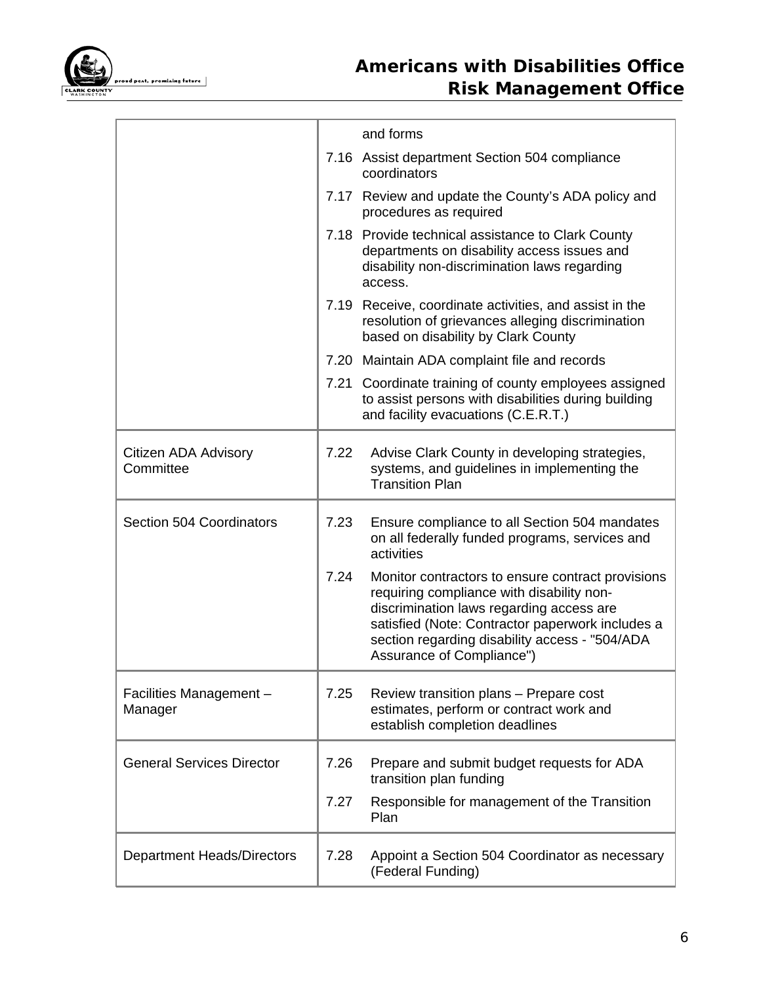

# *Americans with Disabilities Office Risk Management Office*

|                                    |      | and forms                                                                                                                                                                                                                                                                     |
|------------------------------------|------|-------------------------------------------------------------------------------------------------------------------------------------------------------------------------------------------------------------------------------------------------------------------------------|
|                                    |      | 7.16 Assist department Section 504 compliance<br>coordinators                                                                                                                                                                                                                 |
|                                    |      | 7.17 Review and update the County's ADA policy and<br>procedures as required                                                                                                                                                                                                  |
|                                    |      | 7.18 Provide technical assistance to Clark County<br>departments on disability access issues and<br>disability non-discrimination laws regarding<br>access.                                                                                                                   |
|                                    |      | 7.19 Receive, coordinate activities, and assist in the<br>resolution of grievances alleging discrimination<br>based on disability by Clark County                                                                                                                             |
|                                    |      | 7.20 Maintain ADA complaint file and records                                                                                                                                                                                                                                  |
|                                    |      | 7.21 Coordinate training of county employees assigned<br>to assist persons with disabilities during building<br>and facility evacuations (C.E.R.T.)                                                                                                                           |
| Citizen ADA Advisory<br>Committee  | 7.22 | Advise Clark County in developing strategies,<br>systems, and guidelines in implementing the<br><b>Transition Plan</b>                                                                                                                                                        |
| Section 504 Coordinators           | 7.23 | Ensure compliance to all Section 504 mandates<br>on all federally funded programs, services and<br>activities                                                                                                                                                                 |
|                                    | 7.24 | Monitor contractors to ensure contract provisions<br>requiring compliance with disability non-<br>discrimination laws regarding access are<br>satisfied (Note: Contractor paperwork includes a<br>section regarding disability access - "504/ADA<br>Assurance of Compliance") |
| Facilities Management -<br>Manager | 7.25 | Review transition plans - Prepare cost<br>estimates, perform or contract work and<br>establish completion deadlines                                                                                                                                                           |
| <b>General Services Director</b>   | 7.26 | Prepare and submit budget requests for ADA<br>transition plan funding                                                                                                                                                                                                         |
|                                    | 7.27 | Responsible for management of the Transition<br>Plan                                                                                                                                                                                                                          |
| <b>Department Heads/Directors</b>  | 7.28 | Appoint a Section 504 Coordinator as necessary<br>(Federal Funding)                                                                                                                                                                                                           |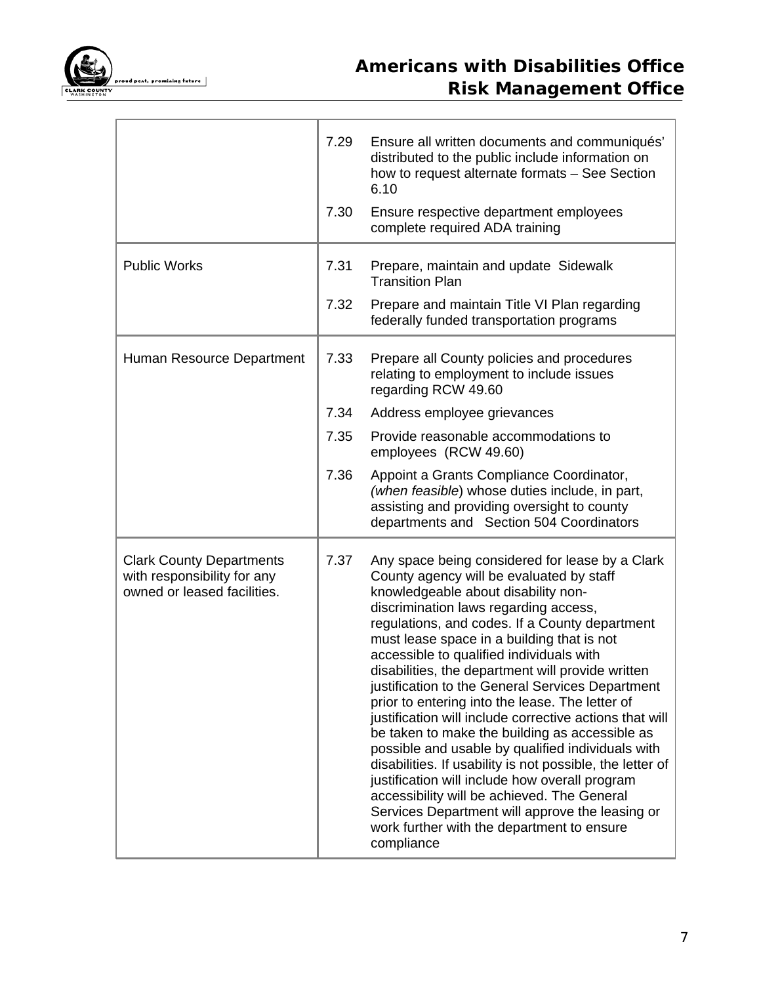

# *Americans with Disabilities Office Risk Management Office*

|                                                                                               | 7.29 | Ensure all written documents and communiqués'<br>distributed to the public include information on<br>how to request alternate formats - See Section<br>6.10                                                                                                                                                                                                                                                                                                                                                                                                                                                                                                                                                                                                                                                                                                                                                                        |
|-----------------------------------------------------------------------------------------------|------|------------------------------------------------------------------------------------------------------------------------------------------------------------------------------------------------------------------------------------------------------------------------------------------------------------------------------------------------------------------------------------------------------------------------------------------------------------------------------------------------------------------------------------------------------------------------------------------------------------------------------------------------------------------------------------------------------------------------------------------------------------------------------------------------------------------------------------------------------------------------------------------------------------------------------------|
|                                                                                               | 7.30 | Ensure respective department employees<br>complete required ADA training                                                                                                                                                                                                                                                                                                                                                                                                                                                                                                                                                                                                                                                                                                                                                                                                                                                           |
| <b>Public Works</b>                                                                           | 7.31 | Prepare, maintain and update Sidewalk<br><b>Transition Plan</b>                                                                                                                                                                                                                                                                                                                                                                                                                                                                                                                                                                                                                                                                                                                                                                                                                                                                    |
|                                                                                               | 7.32 | Prepare and maintain Title VI Plan regarding<br>federally funded transportation programs                                                                                                                                                                                                                                                                                                                                                                                                                                                                                                                                                                                                                                                                                                                                                                                                                                           |
| Human Resource Department                                                                     | 7.33 | Prepare all County policies and procedures<br>relating to employment to include issues<br>regarding RCW 49.60                                                                                                                                                                                                                                                                                                                                                                                                                                                                                                                                                                                                                                                                                                                                                                                                                      |
|                                                                                               | 7.34 | Address employee grievances                                                                                                                                                                                                                                                                                                                                                                                                                                                                                                                                                                                                                                                                                                                                                                                                                                                                                                        |
|                                                                                               | 7.35 | Provide reasonable accommodations to<br>employees (RCW 49.60)                                                                                                                                                                                                                                                                                                                                                                                                                                                                                                                                                                                                                                                                                                                                                                                                                                                                      |
|                                                                                               | 7.36 | Appoint a Grants Compliance Coordinator,<br>(when feasible) whose duties include, in part,<br>assisting and providing oversight to county<br>departments and Section 504 Coordinators                                                                                                                                                                                                                                                                                                                                                                                                                                                                                                                                                                                                                                                                                                                                              |
| <b>Clark County Departments</b><br>with responsibility for any<br>owned or leased facilities. | 7.37 | Any space being considered for lease by a Clark<br>County agency will be evaluated by staff<br>knowledgeable about disability non-<br>discrimination laws regarding access,<br>regulations, and codes. If a County department<br>must lease space in a building that is not<br>accessible to qualified individuals with<br>disabilities, the department will provide written<br>justification to the General Services Department<br>prior to entering into the lease. The letter of<br>justification will include corrective actions that will<br>be taken to make the building as accessible as<br>possible and usable by qualified individuals with<br>disabilities. If usability is not possible, the letter of<br>justification will include how overall program<br>accessibility will be achieved. The General<br>Services Department will approve the leasing or<br>work further with the department to ensure<br>compliance |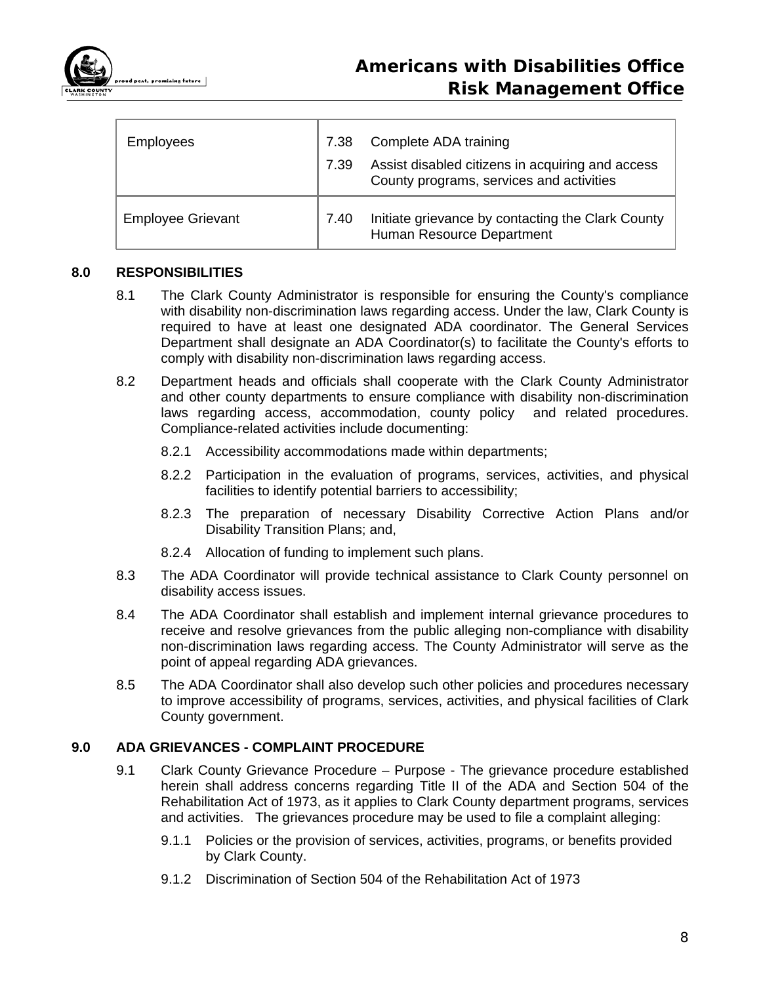

| <b>Employees</b>         | 7.38<br>7.39 | Complete ADA training<br>Assist disabled citizens in acquiring and access<br>County programs, services and activities |
|--------------------------|--------------|-----------------------------------------------------------------------------------------------------------------------|
| <b>Employee Grievant</b> | 7.40         | Initiate grievance by contacting the Clark County<br>Human Resource Department                                        |

#### **8.0 RESPONSIBILITIES**

- 8.1 The Clark County Administrator is responsible for ensuring the County's compliance with disability non-discrimination laws regarding access. Under the law, Clark County is required to have at least one designated ADA coordinator. The General Services Department shall designate an ADA Coordinator(s) to facilitate the County's efforts to comply with disability non-discrimination laws regarding access.
- 8.2 Department heads and officials shall cooperate with the Clark County Administrator and other county departments to ensure compliance with disability non-discrimination laws regarding access, accommodation, county policy and related procedures. Compliance-related activities include documenting:
	- 8.2.1 Accessibility accommodations made within departments;
	- 8.2.2 Participation in the evaluation of programs, services, activities, and physical facilities to identify potential barriers to accessibility;
	- 8.2.3 The preparation of necessary Disability Corrective Action Plans and/or Disability Transition Plans; and,
	- 8.2.4 Allocation of funding to implement such plans.
- 8.3 The ADA Coordinator will provide technical assistance to Clark County personnel on disability access issues.
- 8.4 The ADA Coordinator shall establish and implement internal grievance procedures to receive and resolve grievances from the public alleging non-compliance with disability non-discrimination laws regarding access. The County Administrator will serve as the point of appeal regarding ADA grievances.
- 8.5 The ADA Coordinator shall also develop such other policies and procedures necessary to improve accessibility of programs, services, activities, and physical facilities of Clark County government.

### **9.0 ADA GRIEVANCES - COMPLAINT PROCEDURE**

- 9.1 Clark County Grievance Procedure Purpose The grievance procedure established herein shall address concerns regarding Title II of the ADA and Section 504 of the Rehabilitation Act of 1973, as it applies to Clark County department programs, services and activities. The grievances procedure may be used to file a complaint alleging:
	- 9.1.1 Policies or the provision of services, activities, programs, or benefits provided by Clark County.
	- 9.1.2 Discrimination of Section 504 of the Rehabilitation Act of 1973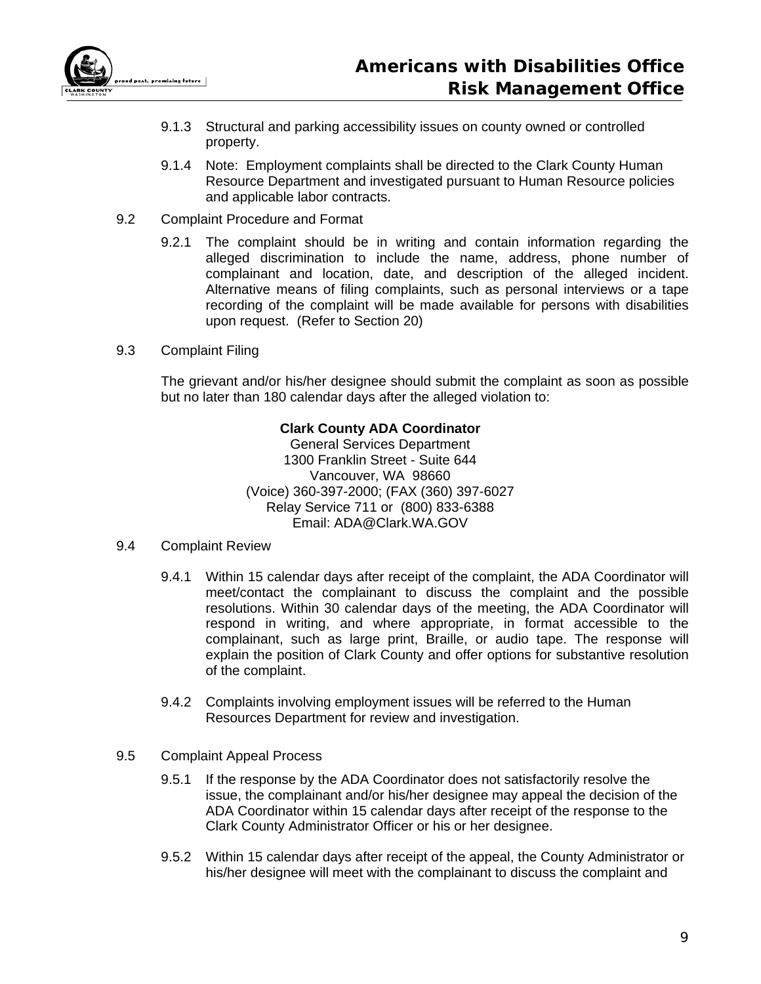

- 9.1.3 Structural and parking accessibility issues on county owned or controlled property.
- 9.1.4 Note: Employment complaints shall be directed to the Clark County Human Resource Department and investigated pursuant to Human Resource policies and applicable labor contracts.
- 9.2 Complaint Procedure and Format
	- 9.2.1 The complaint should be in writing and contain information regarding the alleged discrimination to include the name, address, phone number of complainant and location, date, and description of the alleged incident. Alternative means of filing complaints, such as personal interviews or a tape recording of the complaint will be made available for persons with disabilities upon request. (Refer to Section 20)
- 9.3 Complaint Filing

The grievant and/or his/her designee should submit the complaint as soon as possible but no later than 180 calendar days after the alleged violation to:

### **Clark County ADA Coordinator**

General Services Department 1300 Franklin Street - Suite 644 Vancouver, WA 98660 (Voice) 360-397-2000; (FAX (360) 397-6027 Relay Service 711 or (800) 833-6388 Email: ADA@Clark.WA.GOV

#### 9.4 Complaint Review

- 9.4.1 Within 15 calendar days after receipt of the complaint, the ADA Coordinator will meet/contact the complainant to discuss the complaint and the possible resolutions. Within 30 calendar days of the meeting, the ADA Coordinator will respond in writing, and where appropriate, in format accessible to the complainant, such as large print, Braille, or audio tape. The response will explain the position of Clark County and offer options for substantive resolution of the complaint.
- 9.4.2 Complaints involving employment issues will be referred to the Human Resources Department for review and investigation.
- 9.5 Complaint Appeal Process
	- 9.5.1 If the response by the ADA Coordinator does not satisfactorily resolve the issue, the complainant and/or his/her designee may appeal the decision of the ADA Coordinator within 15 calendar days after receipt of the response to the Clark County Administrator Officer or his or her designee.
	- 9.5.2 Within 15 calendar days after receipt of the appeal, the County Administrator or his/her designee will meet with the complainant to discuss the complaint and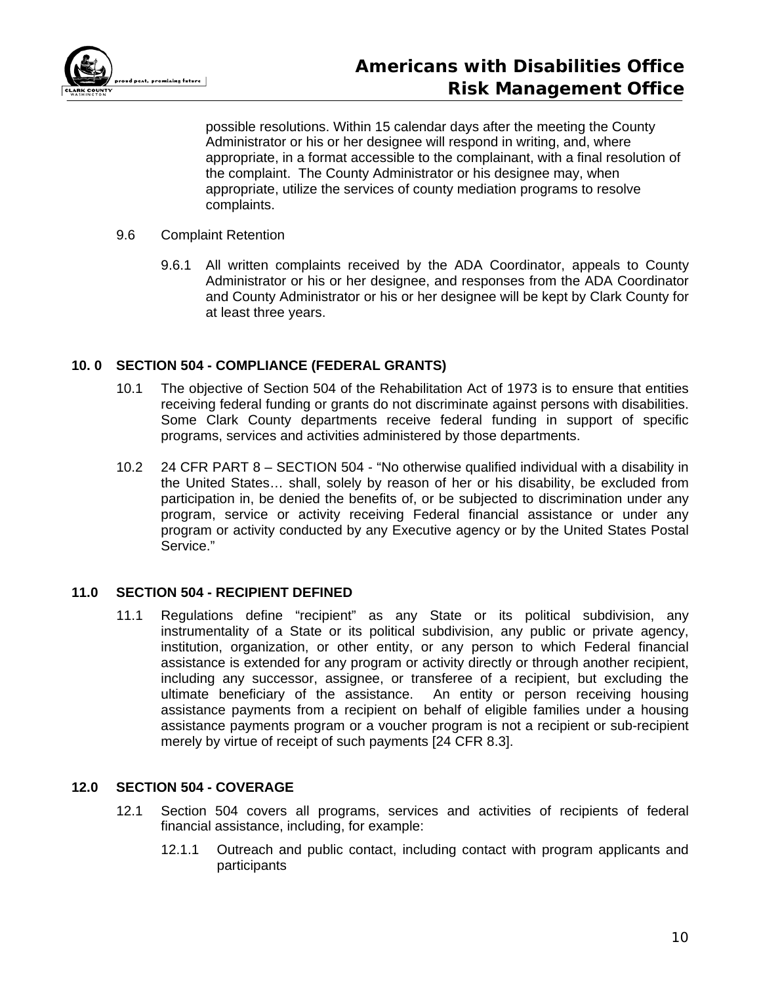

possible resolutions. Within 15 calendar days after the meeting the County Administrator or his or her designee will respond in writing, and, where appropriate, in a format accessible to the complainant, with a final resolution of the complaint. The County Administrator or his designee may, when appropriate, utilize the services of county mediation programs to resolve complaints.

#### 9.6 Complaint Retention

9.6.1 All written complaints received by the ADA Coordinator, appeals to County Administrator or his or her designee, and responses from the ADA Coordinator and County Administrator or his or her designee will be kept by Clark County for at least three years.

# **10. 0 SECTION 504 - COMPLIANCE (FEDERAL GRANTS)**

- 10.1 The objective of Section 504 of the Rehabilitation Act of 1973 is to ensure that entities receiving federal funding or grants do not discriminate against persons with disabilities. Some Clark County departments receive federal funding in support of specific programs, services and activities administered by those departments.
- 10.2 24 CFR PART 8 SECTION 504 "No otherwise qualified individual with a disability in the United States… shall, solely by reason of her or his disability, be excluded from participation in, be denied the benefits of, or be subjected to discrimination under any program, service or activity receiving Federal financial assistance or under any program or activity conducted by any Executive agency or by the United States Postal Service."

# **11.0 SECTION 504 - RECIPIENT DEFINED**

11.1 Regulations define "recipient" as any State or its political subdivision, any instrumentality of a State or its political subdivision, any public or private agency, institution, organization, or other entity, or any person to which Federal financial assistance is extended for any program or activity directly or through another recipient, including any successor, assignee, or transferee of a recipient, but excluding the ultimate beneficiary of the assistance. An entity or person receiving housing assistance payments from a recipient on behalf of eligible families under a housing assistance payments program or a voucher program is not a recipient or sub-recipient merely by virtue of receipt of such payments [24 CFR 8.3].

# **12.0 SECTION 504 - COVERAGE**

- 12.1 Section 504 covers all programs, services and activities of recipients of federal financial assistance, including, for example:
	- 12.1.1 Outreach and public contact, including contact with program applicants and participants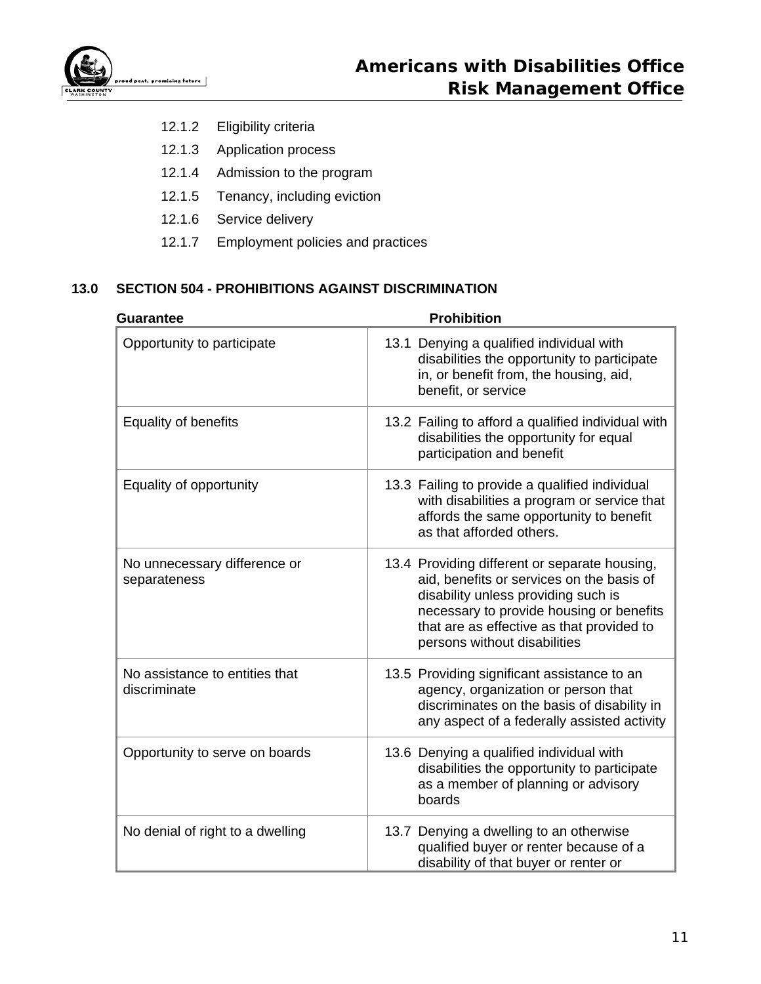

- 12.1.2 Eligibility criteria
- 12.1.3 Application process
- 12.1.4 Admission to the program
- 12.1.5 Tenancy, including eviction
- 12.1.6 Service delivery
- 12.1.7 Employment policies and practices

# **13.0 SECTION 504 - PROHIBITIONS AGAINST DISCRIMINATION**

| <b>Guarantee</b>                               | <b>Prohibition</b>                                                                                                                                                                                                                                         |  |  |
|------------------------------------------------|------------------------------------------------------------------------------------------------------------------------------------------------------------------------------------------------------------------------------------------------------------|--|--|
| Opportunity to participate                     | 13.1 Denying a qualified individual with<br>disabilities the opportunity to participate<br>in, or benefit from, the housing, aid,<br>benefit, or service                                                                                                   |  |  |
| <b>Equality of benefits</b>                    | 13.2 Failing to afford a qualified individual with<br>disabilities the opportunity for equal<br>participation and benefit                                                                                                                                  |  |  |
| Equality of opportunity                        | 13.3 Failing to provide a qualified individual<br>with disabilities a program or service that<br>affords the same opportunity to benefit<br>as that afforded others.                                                                                       |  |  |
| No unnecessary difference or<br>separateness   | 13.4 Providing different or separate housing,<br>aid, benefits or services on the basis of<br>disability unless providing such is<br>necessary to provide housing or benefits<br>that are as effective as that provided to<br>persons without disabilities |  |  |
| No assistance to entities that<br>discriminate | 13.5 Providing significant assistance to an<br>agency, organization or person that<br>discriminates on the basis of disability in<br>any aspect of a federally assisted activity                                                                           |  |  |
| Opportunity to serve on boards                 | 13.6 Denying a qualified individual with<br>disabilities the opportunity to participate<br>as a member of planning or advisory<br>boards                                                                                                                   |  |  |
| No denial of right to a dwelling               | 13.7 Denying a dwelling to an otherwise<br>qualified buyer or renter because of a<br>disability of that buyer or renter or                                                                                                                                 |  |  |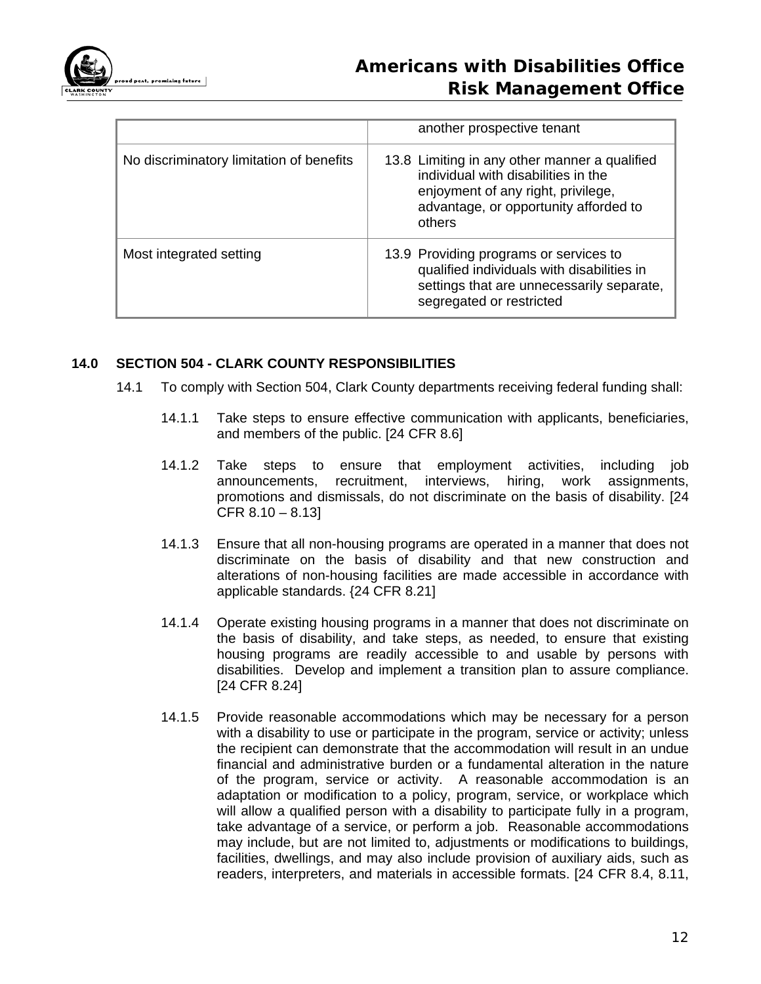

|                                          | another prospective tenant                                                                                                                                                    |
|------------------------------------------|-------------------------------------------------------------------------------------------------------------------------------------------------------------------------------|
| No discriminatory limitation of benefits | 13.8 Limiting in any other manner a qualified<br>individual with disabilities in the<br>enjoyment of any right, privilege,<br>advantage, or opportunity afforded to<br>others |
| Most integrated setting                  | 13.9 Providing programs or services to<br>qualified individuals with disabilities in<br>settings that are unnecessarily separate,<br>segregated or restricted                 |

# **14.0 SECTION 504 - CLARK COUNTY RESPONSIBILITIES**

- 14.1 To comply with Section 504, Clark County departments receiving federal funding shall:
	- 14.1.1 Take steps to ensure effective communication with applicants, beneficiaries, and members of the public. [24 CFR 8.6]
	- 14.1.2 Take steps to ensure that employment activities, including job announcements, recruitment, interviews, hiring, work assignments, promotions and dismissals, do not discriminate on the basis of disability. [24  $CFR 8.10 - 8.13$
	- 14.1.3 Ensure that all non-housing programs are operated in a manner that does not discriminate on the basis of disability and that new construction and alterations of non-housing facilities are made accessible in accordance with applicable standards. {24 CFR 8.21]
	- 14.1.4 Operate existing housing programs in a manner that does not discriminate on the basis of disability, and take steps, as needed, to ensure that existing housing programs are readily accessible to and usable by persons with disabilities. Develop and implement a transition plan to assure compliance. [24 CFR 8.24]
	- 14.1.5 Provide reasonable accommodations which may be necessary for a person with a disability to use or participate in the program, service or activity; unless the recipient can demonstrate that the accommodation will result in an undue financial and administrative burden or a fundamental alteration in the nature of the program, service or activity. A reasonable accommodation is an adaptation or modification to a policy, program, service, or workplace which will allow a qualified person with a disability to participate fully in a program, take advantage of a service, or perform a job. Reasonable accommodations may include, but are not limited to, adjustments or modifications to buildings, facilities, dwellings, and may also include provision of auxiliary aids, such as readers, interpreters, and materials in accessible formats. [24 CFR 8.4, 8.11,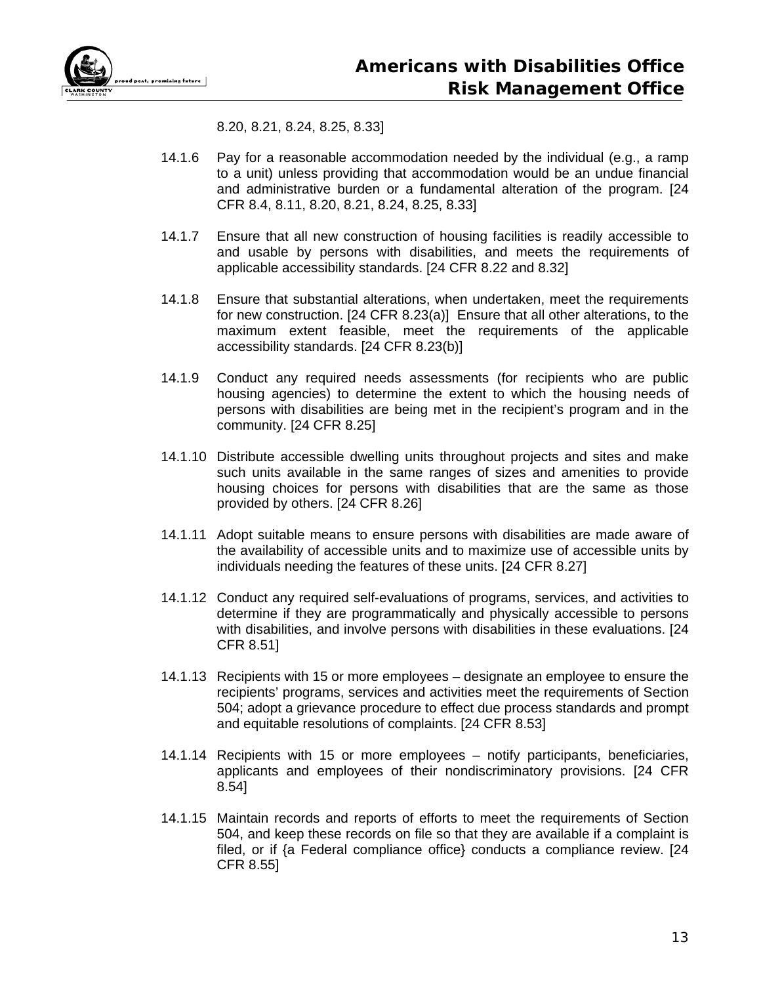

8.20, 8.21, 8.24, 8.25, 8.33]

- 14.1.6 Pay for a reasonable accommodation needed by the individual (e.g., a ramp to a unit) unless providing that accommodation would be an undue financial and administrative burden or a fundamental alteration of the program. [24 CFR 8.4, 8.11, 8.20, 8.21, 8.24, 8.25, 8.33]
- 14.1.7 Ensure that all new construction of housing facilities is readily accessible to and usable by persons with disabilities, and meets the requirements of applicable accessibility standards. [24 CFR 8.22 and 8.32]
- 14.1.8 Ensure that substantial alterations, when undertaken, meet the requirements for new construction. [24 CFR 8.23(a)] Ensure that all other alterations, to the maximum extent feasible, meet the requirements of the applicable accessibility standards. [24 CFR 8.23(b)]
- 14.1.9 Conduct any required needs assessments (for recipients who are public housing agencies) to determine the extent to which the housing needs of persons with disabilities are being met in the recipient's program and in the community. [24 CFR 8.25]
- 14.1.10 Distribute accessible dwelling units throughout projects and sites and make such units available in the same ranges of sizes and amenities to provide housing choices for persons with disabilities that are the same as those provided by others. [24 CFR 8.26]
- 14.1.11 Adopt suitable means to ensure persons with disabilities are made aware of the availability of accessible units and to maximize use of accessible units by individuals needing the features of these units. [24 CFR 8.27]
- 14.1.12 Conduct any required self-evaluations of programs, services, and activities to determine if they are programmatically and physically accessible to persons with disabilities, and involve persons with disabilities in these evaluations. [24 CFR 8.51]
- 14.1.13 Recipients with 15 or more employees designate an employee to ensure the recipients' programs, services and activities meet the requirements of Section 504; adopt a grievance procedure to effect due process standards and prompt and equitable resolutions of complaints. [24 CFR 8.53]
- 14.1.14 Recipients with 15 or more employees notify participants, beneficiaries, applicants and employees of their nondiscriminatory provisions. [24 CFR 8.54]
- 14.1.15 Maintain records and reports of efforts to meet the requirements of Section 504, and keep these records on file so that they are available if a complaint is filed, or if {a Federal compliance office} conducts a compliance review. [24 CFR 8.55]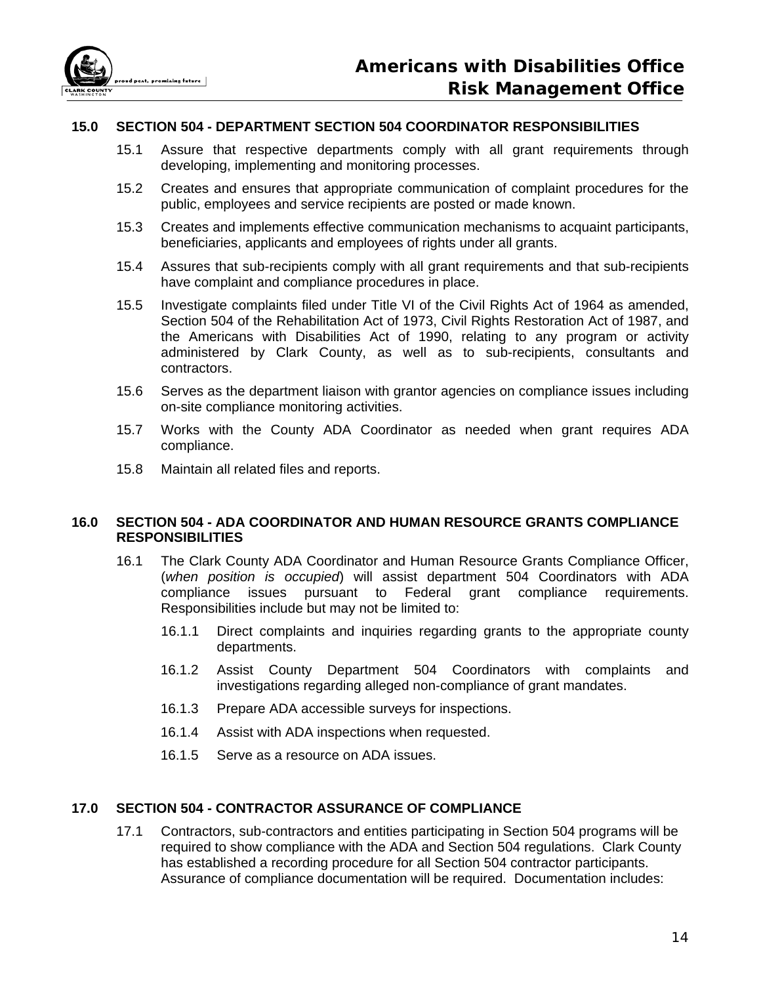

## **15.0 SECTION 504 - DEPARTMENT SECTION 504 COORDINATOR RESPONSIBILITIES**

- 15.1 Assure that respective departments comply with all grant requirements through developing, implementing and monitoring processes.
- 15.2 Creates and ensures that appropriate communication of complaint procedures for the public, employees and service recipients are posted or made known.
- 15.3 Creates and implements effective communication mechanisms to acquaint participants, beneficiaries, applicants and employees of rights under all grants.
- 15.4 Assures that sub-recipients comply with all grant requirements and that sub-recipients have complaint and compliance procedures in place.
- 15.5 Investigate complaints filed under Title VI of the Civil Rights Act of 1964 as amended, Section 504 of the Rehabilitation Act of 1973, Civil Rights Restoration Act of 1987, and the Americans with Disabilities Act of 1990, relating to any program or activity administered by Clark County, as well as to sub-recipients, consultants and contractors.
- 15.6 Serves as the department liaison with grantor agencies on compliance issues including on-site compliance monitoring activities.
- 15.7 Works with the County ADA Coordinator as needed when grant requires ADA compliance.
- 15.8 Maintain all related files and reports.

### **16.0 SECTION 504 - ADA COORDINATOR AND HUMAN RESOURCE GRANTS COMPLIANCE RESPONSIBILITIES**

- 16.1 The Clark County ADA Coordinator and Human Resource Grants Compliance Officer, (*when position is occupied*) will assist department 504 Coordinators with ADA compliance issues pursuant to Federal grant compliance requirements. Responsibilities include but may not be limited to:
	- 16.1.1 Direct complaints and inquiries regarding grants to the appropriate county departments.
	- 16.1.2 Assist County Department 504 Coordinators with complaints and investigations regarding alleged non-compliance of grant mandates.
	- 16.1.3 Prepare ADA accessible surveys for inspections.
	- 16.1.4 Assist with ADA inspections when requested.
	- 16.1.5 Serve as a resource on ADA issues.

# **17.0 SECTION 504 - CONTRACTOR ASSURANCE OF COMPLIANCE**

17.1 Contractors, sub-contractors and entities participating in Section 504 programs will be required to show compliance with the ADA and Section 504 regulations. Clark County has established a recording procedure for all Section 504 contractor participants. Assurance of compliance documentation will be required. Documentation includes: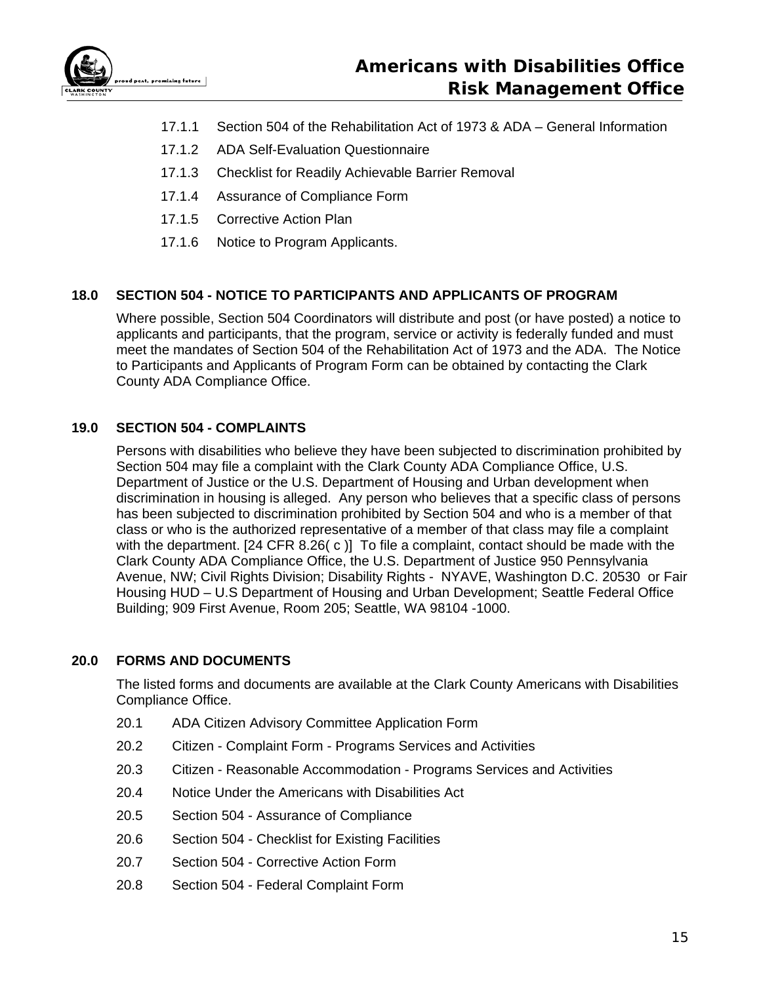

- 17.1.1 Section 504 of the Rehabilitation Act of 1973 & ADA General Information
- 17.1.2 ADA Self-Evaluation Questionnaire
- 17.1.3 Checklist for Readily Achievable Barrier Removal
- 17.1.4 Assurance of Compliance Form
- 17.1.5 Corrective Action Plan
- 17.1.6 Notice to Program Applicants.

# **18.0 SECTION 504 - NOTICE TO PARTICIPANTS AND APPLICANTS OF PROGRAM**

Where possible, Section 504 Coordinators will distribute and post (or have posted) a notice to applicants and participants, that the program, service or activity is federally funded and must meet the mandates of Section 504 of the Rehabilitation Act of 1973 and the ADA. The Notice to Participants and Applicants of Program Form can be obtained by contacting the Clark County ADA Compliance Office.

# **19.0 SECTION 504 - COMPLAINTS**

Persons with disabilities who believe they have been subjected to discrimination prohibited by Section 504 may file a complaint with the Clark County ADA Compliance Office, U.S. Department of Justice or the U.S. Department of Housing and Urban development when discrimination in housing is alleged. Any person who believes that a specific class of persons has been subjected to discrimination prohibited by Section 504 and who is a member of that class or who is the authorized representative of a member of that class may file a complaint with the department.  $[24 \text{ CFR } 8.26 \text{ (c)}]$  To file a complaint, contact should be made with the Clark County ADA Compliance Office, the U.S. Department of Justice 950 Pennsylvania Avenue, NW; Civil Rights Division; Disability Rights - NYAVE, Washington D.C. 20530 or Fair Housing HUD – U.S Department of Housing and Urban Development; Seattle Federal Office Building; 909 First Avenue, Room 205; Seattle, WA 98104 -1000.

# **20.0 FORMS AND DOCUMENTS**

The listed forms and documents are available at the Clark County Americans with Disabilities Compliance Office.

- 20.1 ADA Citizen Advisory Committee Application Form
- 20.2 Citizen Complaint Form Programs Services and Activities
- 20.3 Citizen Reasonable Accommodation Programs Services and Activities
- 20.4 Notice Under the Americans with Disabilities Act
- 20.5 Section 504 Assurance of Compliance
- 20.6 Section 504 Checklist for Existing Facilities
- 20.7 Section 504 Corrective Action Form
- 20.8 Section 504 Federal Complaint Form